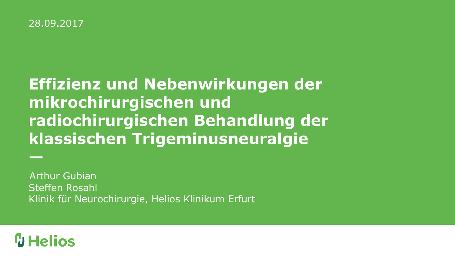### **Effizienz und Nebenwirkungen der mikrochirurgischen und radiochirurgischen Behandlung der klassischen Trigeminusneuralgie**

Steffen Rosahl Klinik für Neurochirurgie, Helios Klinikum Erfurt Arthur Gubian

### $\omega$  Helios

**—**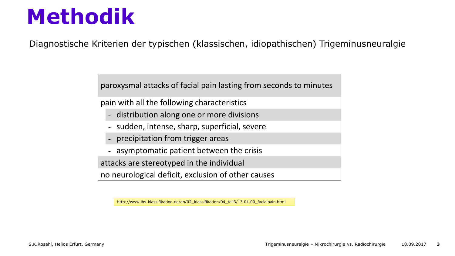Diagnostische Kriterien der typischen (klassischen, idiopathischen) Trigeminusneuralgie

paroxysmal attacks of facial pain lasting from seconds to minutes

pain with all the following characteristics

- distribution along one or more divisions
- sudden, intense, sharp, superficial, severe
- precipitation from trigger areas
- asymptomatic patient between the crisis

attacks are stereotyped in the individual

no neurological deficit, exclusion of other causes

http://www.ihs-klassifikation.de/en/02\_klassifikation/04\_teil3/13.01.00\_facialpain.html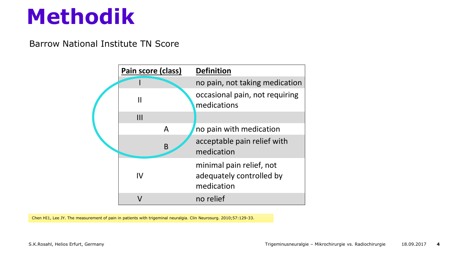Barrow National Institute TN Score



Chen HI1, Lee JY. The measurement of pain in patients with trigeminal neuralgia. Clin Neurosurg. 2010;57:129-33.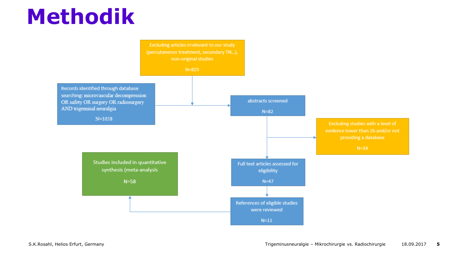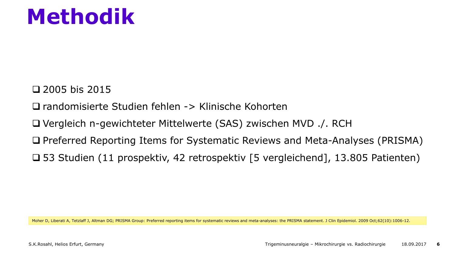$\Box$  2005 bis 2015

randomisierte Studien fehlen -> Klinische Kohorten

Vergleich n-gewichteter Mittelwerte (SAS) zwischen MVD ./. RCH

□ Preferred Reporting Items for Systematic Reviews and Meta-Analyses (PRISMA)

53 Studien (11 prospektiv, 42 retrospektiv [5 vergleichend], 13.805 Patienten)

Moher D, Liberati A, Tetzlaff J, Altman DG; PRISMA Group: Preferred reporting items for systematic reviews and meta-analyses: the PRISMA statement. J Clin Epidemiol. 2009 Oct;62(10):1006-12.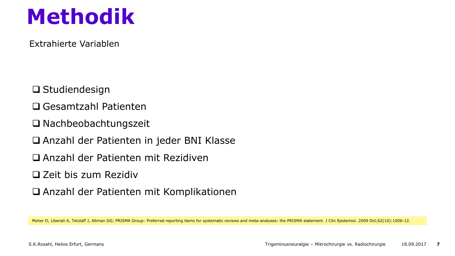Extrahierte Variablen

- □ Studiendesign
- Gesamtzahl Patienten
- □ Nachbeobachtungszeit
- Anzahl der Patienten in jeder BNI Klasse
- Anzahl der Patienten mit Rezidiven
- $\Box$  Zeit bis zum Rezidiv
- Anzahl der Patienten mit Komplikationen

Moher D, Liberati A, Tetzlaff J, Altman DG; PRISMA Group: Preferred reporting items for systematic reviews and meta-analyses: the PRISMA statement. J Clin Epidemiol. 2009 Oct;62(10):1006-12.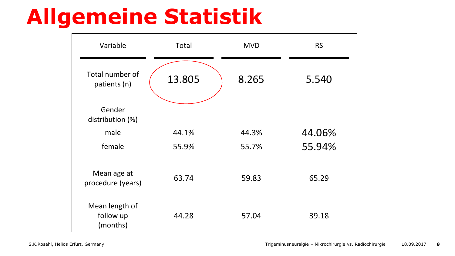### **Allgemeine Statistik**

| Variable                                | Total  | <b>MVD</b> | <b>RS</b> |
|-----------------------------------------|--------|------------|-----------|
| Total number of<br>patients (n)         | 13.805 | 8.265      | 5.540     |
| Gender<br>distribution (%)              |        |            |           |
| male                                    | 44.1%  | 44.3%      | 44.06%    |
| female                                  | 55.9%  | 55.7%      | 55.94%    |
| Mean age at<br>procedure (years)        | 63.74  | 59.83      | 65.29     |
| Mean length of<br>follow up<br>(months) | 44.28  | 57.04      | 39.18     |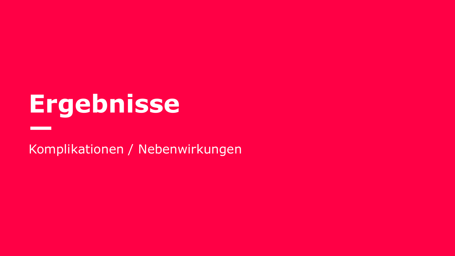**—**

Komplikationen / Nebenwirkungen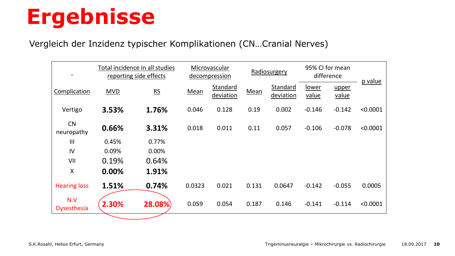#### Vergleich der Inzidenz typischer Komplikationen (CN…Cranial Nerves)

| $\blacksquare$            |            | Total incidence in all studies<br>reporting side effects |        | Microvascular<br>decompression |       | Radiosurgery          |                | 95% CI for mean<br>difference |          |
|---------------------------|------------|----------------------------------------------------------|--------|--------------------------------|-------|-----------------------|----------------|-------------------------------|----------|
| Complication              | <b>MVD</b> | RS                                                       | Mean   | <b>Standard</b><br>deviation   | Mean  | Standard<br>deviation | lower<br>value | upper<br>value                | p value  |
| Vertigo                   | 3.53%      | 1.76%                                                    | 0.046  | 0.128                          | 0.19  | 0.002                 | $-0.146$       | $-0.142$                      | < 0.0001 |
| <b>CN</b><br>neuropathy   | 0.66%      | 3.31%                                                    | 0.018  | 0.011                          | 0.11  | 0.057                 | $-0.106$       | $-0.078$                      | < 0.0001 |
| III                       | 0.45%      | 0.77%                                                    |        |                                |       |                       |                |                               |          |
| IV                        | 0.09%      | 0.00%                                                    |        |                                |       |                       |                |                               |          |
| VII                       | 0.19%      | 0.64%                                                    |        |                                |       |                       |                |                               |          |
| X                         | 0.00%      | 1.91%                                                    |        |                                |       |                       |                |                               |          |
| <b>Hearing loss</b>       | 1.51%      | 0.74%                                                    | 0.0323 | 0.021                          | 0.131 | 0.0647                | $-0.142$       | $-0.055$                      | 0.0005   |
| N.V<br><b>Dysesthesia</b> | 2.30%      | 28.08%                                                   | 0.059  | 0.054                          | 0.187 | 0.146                 | $-0.141$       | $-0.114$                      | < 0.0001 |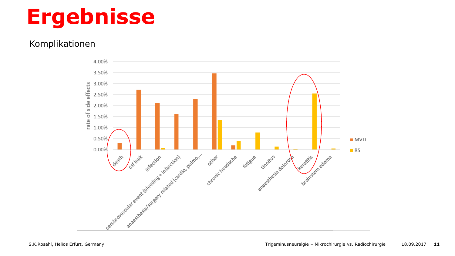#### Komplikationen

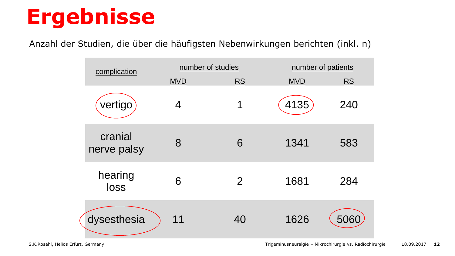Anzahl der Studien, die über die häufigsten Nebenwirkungen berichten (inkl. n)

| complication           | number of studies |                | number of patients |           |
|------------------------|-------------------|----------------|--------------------|-----------|
|                        | <b>MVD</b>        | <b>RS</b>      | <b>MVD</b>         | <b>RS</b> |
| vertigo                | 4                 | 1              | 4135               | 240       |
| cranial<br>nerve palsy | 8                 | 6              | 1341               | 583       |
| hearing<br>loss        | 6                 | $\overline{2}$ | 1681               | 284       |
| dysesthesia            | 11                | 40             | 1626               | 506       |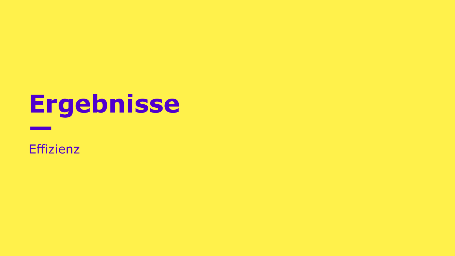#### **Effizienz**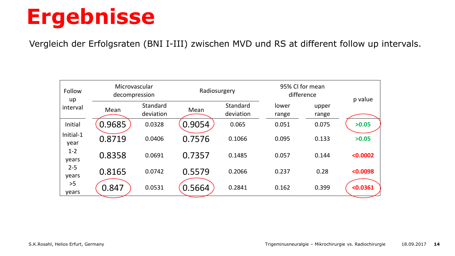Vergleich der Erfolgsraten (BNI I-III) zwischen MVD und RS at different follow up intervals.

| Follow<br>up      | Microvascular<br>decompression |                       | Radiosurgery |                       | 95% CI for mean<br>difference |                | p value  |
|-------------------|--------------------------------|-----------------------|--------------|-----------------------|-------------------------------|----------------|----------|
| interval          | Mean                           | Standard<br>deviation | Mean         | Standard<br>deviation | lower<br>range                | upper<br>range |          |
| Initial           | 0.9685                         | 0.0328                | 0.9054       | 0.065                 | 0.051                         | 0.075          | >0.05    |
| Initial-1<br>year | 0.8719                         | 0.0406                | 0.7576       | 0.1066                | 0.095                         | 0.133          | >0.05    |
| $1 - 2$<br>years  | 0.8358                         | 0.0691                | 0.7357       | 0.1485                | 0.057                         | 0.144          | < 0.0002 |
| $2 - 5$<br>years  | 0.8165                         | 0.0742                | 0.5579       | 0.2066                | 0.237                         | 0.28           | < 0.0098 |
| >5<br>years       | 0.847                          | 0.0531                | 0.5664       | 0.2841                | 0.162                         | 0.399          | < 0.0361 |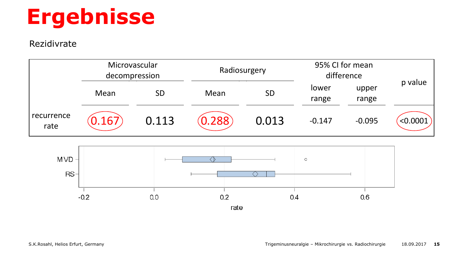#### Rezidivrate



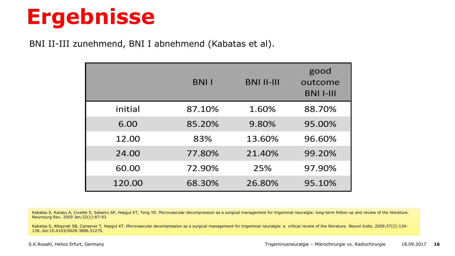BNI II-III zunehmend, BNI I abnehmend (Kabatas et al).

|         | <b>BNII</b> | <b>BNI II-III</b> | good<br>outcome<br><b>BNI I-III</b> |
|---------|-------------|-------------------|-------------------------------------|
| initial | 87.10%      | 1.60%             | 88.70%                              |
| 6.00    | 85.20%      | 9.80%             | 95.00%                              |
| 12.00   | 83%         | 13.60%            | 96.60%                              |
| 24.00   | 77.80%      | 21.40%            | 99.20%                              |
| 60.00   | 72.90%      | 25%               | 97.90%                              |
| 120.00  | 68.30%      | 26.80%            | 95.10%                              |

Kabatas S, Karasu A, Civelek E, Sabanci AP, Hepgul KT, Teng YD. Microvascular decompression as a surgical management for trigeminal neuralgia: long-term follow-up and review of the literature. Neurosurg Rev. 2009 Jan;32(1):87-93

Kabatas S, Albayrak SB, Cansever T, Hepgul KT. Microvascular decompression as a surgical management for trigeminal neuralgia: a critical review of the literature. *Neurol India*. 2009;57(2):134- 138. doi:10.4103/0028-3886.51279.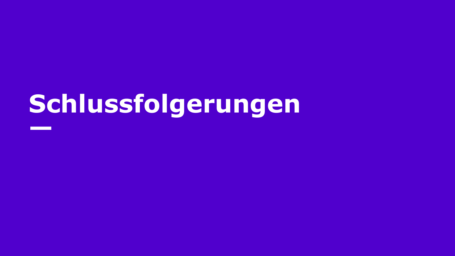# **Schlussfolgerungen —**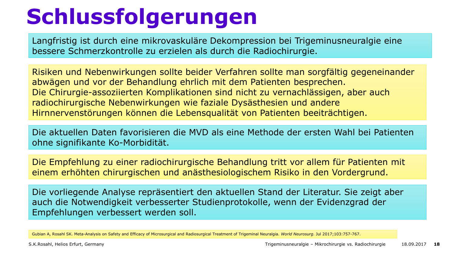# **Schlussfolgerungen**

Langfristig ist durch eine mikrovaskuläre Dekompression bei Trigeminusneuralgie eine bessere Schmerzkontrolle zu erzielen als durch die Radiochirurgie.

Risiken und Nebenwirkungen sollte beider Verfahren sollte man sorgfältig gegeneinander abwägen und vor der Behandlung ehrlich mit dem Patienten besprechen. Die Chirurgie-assoziierten Komplikationen sind nicht zu vernachlässigen, aber auch radiochirurgische Nebenwirkungen wie faziale Dysästhesien und andere Hirnnervenstörungen können die Lebensqualität von Patienten beeiträchtigen.

Die aktuellen Daten favorisieren die MVD als eine Methode der ersten Wahl bei Patienten ohne signifikante Ko-Morbidität.

Die Empfehlung zu einer radiochirurgische Behandlung tritt vor allem für Patienten mit einem erhöhten chirurgischen und anästhesiologischem Risiko in den Vordergrund.

Die vorliegende Analyse repräsentiert den aktuellen Stand der Literatur. Sie zeigt aber auch die Notwendigkeit verbesserter Studienprotokolle, wenn der Evidenzgrad der Empfehlungen verbessert werden soll.

Gubian A, Rosahl SK. Meta-Analysis on Safety and Efficacy of Microsurgical and Radiosurgical Treatment of Trigeminal Neuralgia. *World Neurosurg.* Jul 2017;103:757-767.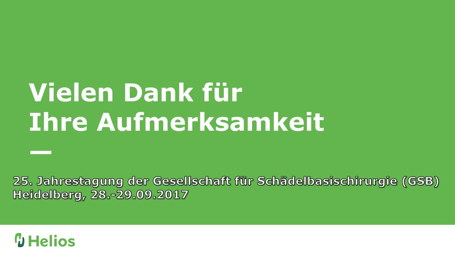# **Vielen Dank für Ihre Aufmerksamkeit**

25. Jahrestagung der Gesellschaft für Schädelbasischirurgie (GSB) Heidelberg, 28.-29.09.2017

### **W** Helios

**—**